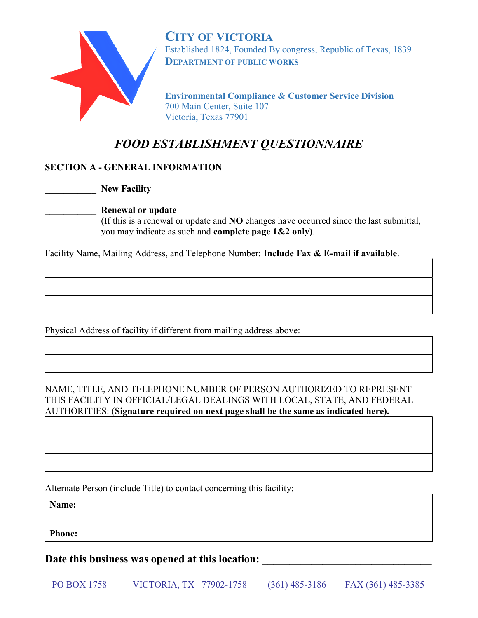

CITY OF VICTORIA Established 1824, Founded By congress, Republic of Texas, 1839 DEPARTMENT OF PUBLIC WORKS

Environmental Compliance & Customer Service Division 700 Main Center, Suite 107 Victoria, Texas 77901

# FOOD ESTABLISHMENT QUESTIONNAIRE

# SECTION A - GENERAL INFORMATION

New Facility

# Renewal or update

 (If this is a renewal or update and NO changes have occurred since the last submittal, you may indicate as such and complete page 1&2 only).

Facility Name, Mailing Address, and Telephone Number: Include Fax & E-mail if available.

Physical Address of facility if different from mailing address above:

NAME, TITLE, AND TELEPHONE NUMBER OF PERSON AUTHORIZED TO REPRESENT THIS FACILITY IN OFFICIAL/LEGAL DEALINGS WITH LOCAL, STATE, AND FEDERAL AUTHORITIES: (Signature required on next page shall be the same as indicated here).

Alternate Person (include Title) to contact concerning this facility:

Name:

Phone:

Date this business was opened at this location: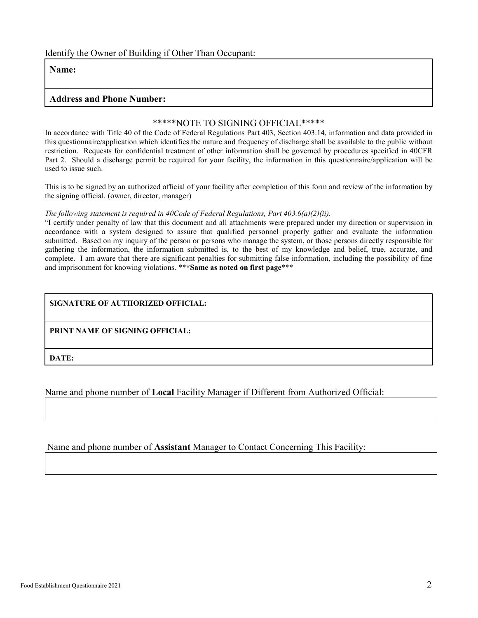### Identify the Owner of Building if Other Than Occupant:

### Name:

### Address and Phone Number:

#### \*\*\*\*\*NOTE TO SIGNING OFFICIAL\*\*\*\*\*

In accordance with Title 40 of the Code of Federal Regulations Part 403, Section 403.14, information and data provided in this questionnaire/application which identifies the nature and frequency of discharge shall be available to the public without restriction. Requests for confidential treatment of other information shall be governed by procedures specified in 40CFR Part 2. Should a discharge permit be required for your facility, the information in this questionnaire/application will be used to issue such.

This is to be signed by an authorized official of your facility after completion of this form and review of the information by the signing official. (owner, director, manager)

#### The following statement is required in 40Code of Federal Regulations, Part  $403.6(a)(2)(ii)$ .

"I certify under penalty of law that this document and all attachments were prepared under my direction or supervision in accordance with a system designed to assure that qualified personnel properly gather and evaluate the information submitted. Based on my inquiry of the person or persons who manage the system, or those persons directly responsible for gathering the information, the information submitted is, to the best of my knowledge and belief, true, accurate, and complete. I am aware that there are significant penalties for submitting false information, including the possibility of fine and imprisonment for knowing violations. \*\*\*Same as noted on first page\*\*\*

### SIGNATURE OF AUTHORIZED OFFICIAL:

PRINT NAME OF SIGNING OFFICIAL:

DATE:

Name and phone number of Local Facility Manager if Different from Authorized Official:

Name and phone number of Assistant Manager to Contact Concerning This Facility: